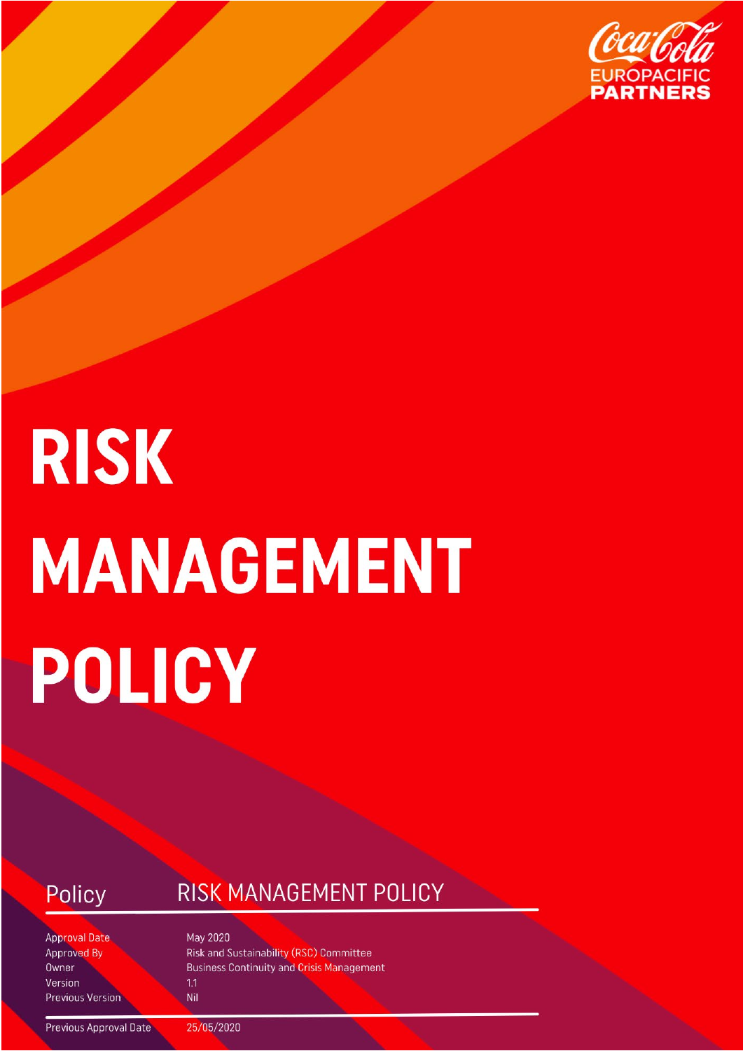

# **RISK MANAGEMENT** POLICY

#### Policy

#### RISK MANAGEMENT POLICY

**Approval Date Approved By** Owner Version **Previous Version**  May 2020 **Risk and Sustainability (RSC) Committee Business Continuity and Crisis Management**  $1.1$ 

Nil

**Previous Approval Date** 

25/05/2020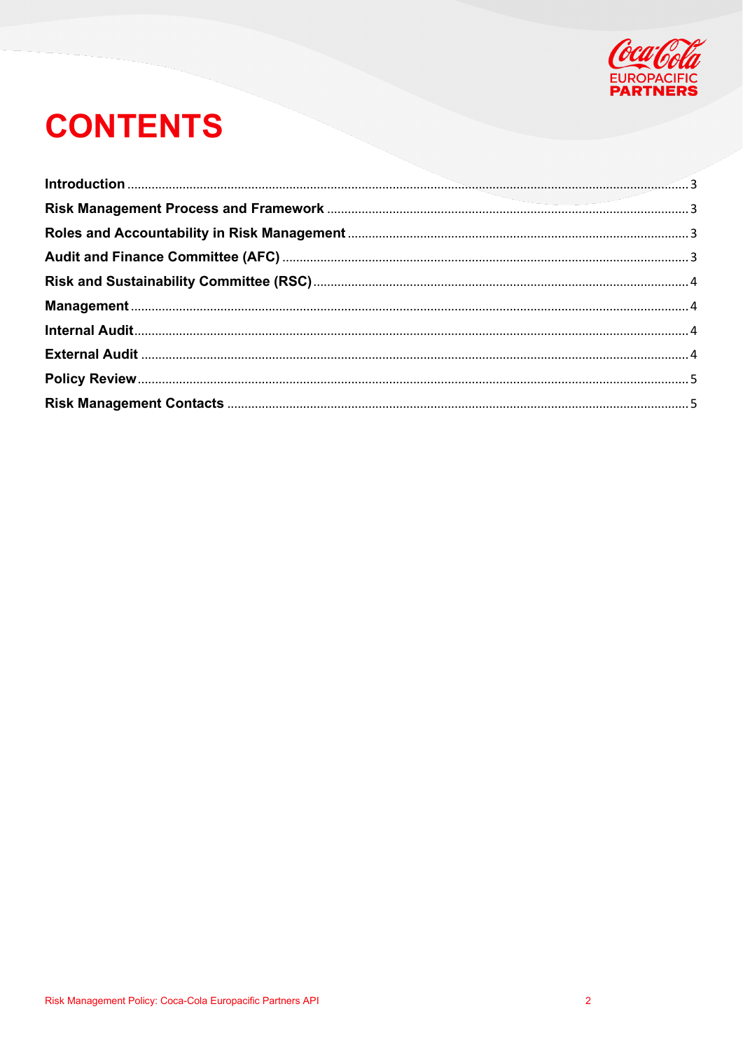

# **CONTENTS**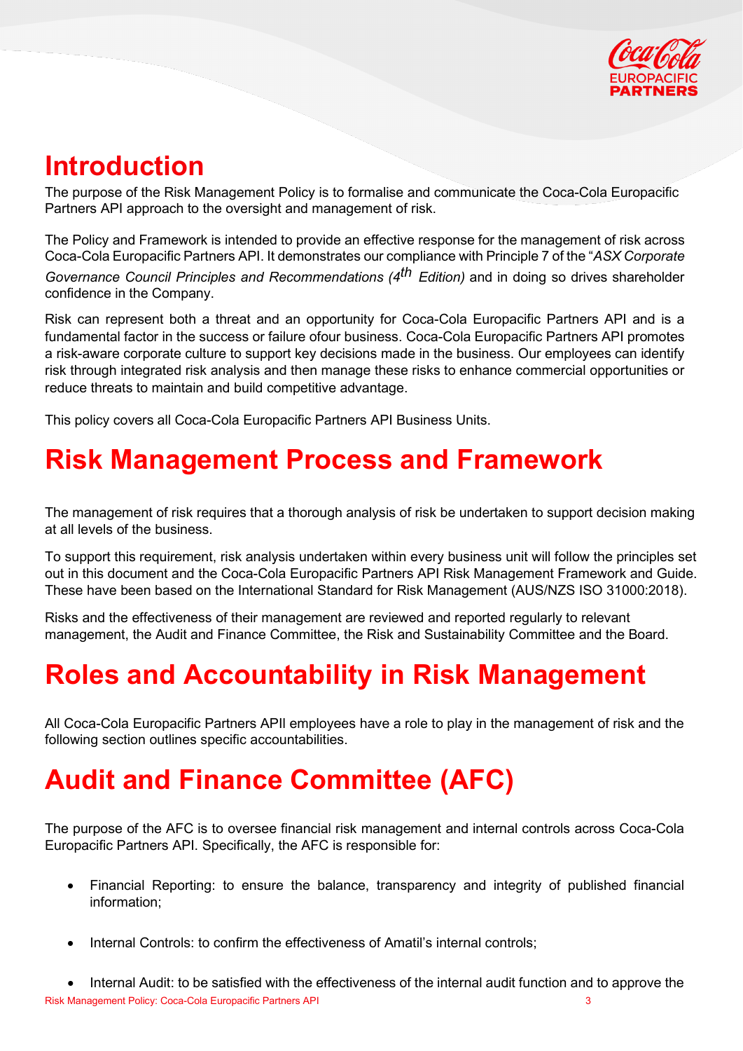

## <span id="page-2-0"></span>**Introduction**

The purpose of the Risk Management Policy is to formalise and communicate the Coca-Cola Europacific Partners API approach to the oversight and management of risk.

The Policy and Framework is intended to provide an effective response for the management of risk across Coca-Cola Europacific Partners API. It demonstrates our compliance with Principle 7 of the "*ASX Corporate Governance Council Principles and Recommendations (4th Edition)* and in doing so drives shareholder confidence in the Company.

Risk can represent both a threat and an opportunity for Coca-Cola Europacific Partners API and is a fundamental factor in the success or failure ofour business. Coca-Cola Europacific Partners API promotes a risk-aware corporate culture to support key decisions made in the business. Our employees can identify risk through integrated risk analysis and then manage these risks to enhance commercial opportunities or reduce threats to maintain and build competitive advantage.

<span id="page-2-1"></span>This policy covers all Coca-Cola Europacific Partners API Business Units.

#### **Risk Management Process and Framework**

The management of risk requires that a thorough analysis of risk be undertaken to support decision making at all levels of the business.

To support this requirement, risk analysis undertaken within every business unit will follow the principles set out in this document and the Coca-Cola Europacific Partners API Risk Management Framework and Guide. These have been based on the International Standard for Risk Management (AUS/NZS ISO 31000:2018).

Risks and the effectiveness of their management are reviewed and reported regularly to relevant management, the Audit and Finance Committee, the Risk and Sustainability Committee and the Board.

#### <span id="page-2-2"></span>**Roles and Accountability in Risk Management**

All Coca-Cola Europacific Partners APIl employees have a role to play in the management of risk and the following section outlines specific accountabilities.

#### <span id="page-2-3"></span>**Audit and Finance Committee (AFC)**

The purpose of the AFC is to oversee financial risk management and internal controls across Coca-Cola Europacific Partners API. Specifically, the AFC is responsible for:

- Financial Reporting: to ensure the balance, transparency and integrity of published financial information;
- Internal Controls: to confirm the effectiveness of Amatil's internal controls;

Risk Management Policy: Coca-Cola Europacific Partners API 3 • Internal Audit: to be satisfied with the effectiveness of the internal audit function and to approve the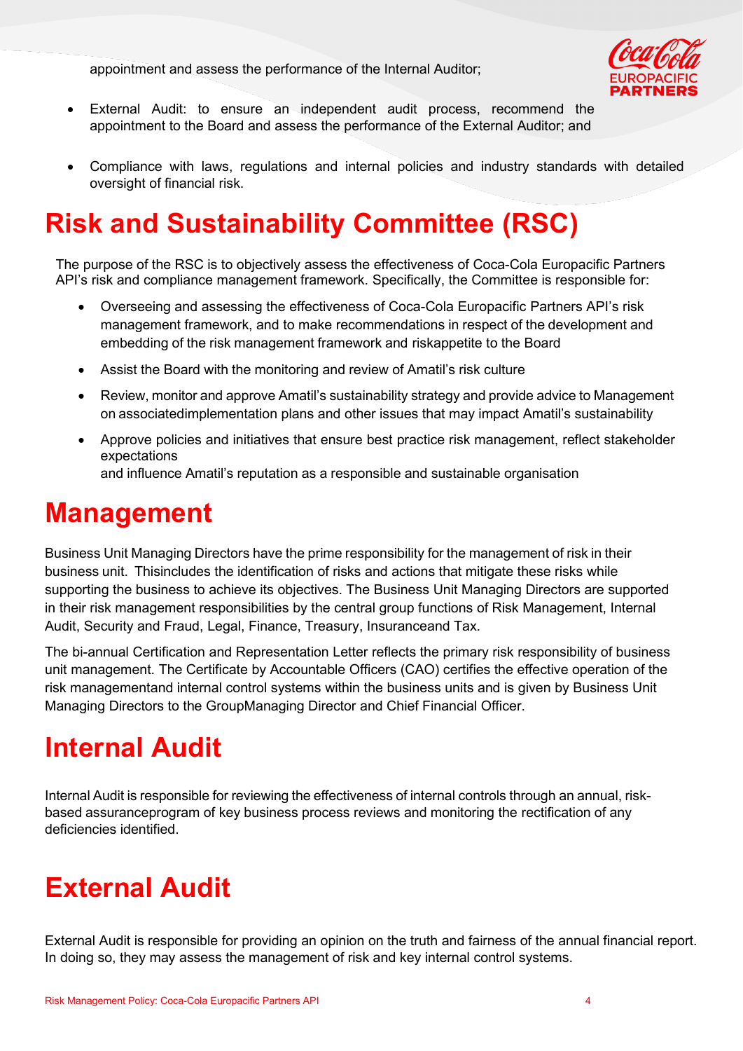appointment and assess the performance of the Internal Auditor;



- External Audit: to ensure an independent audit process, recommend the appointment to the Board and assess the performance of the External Auditor; and
- Compliance with laws, regulations and internal policies and industry standards with detailed oversight of financial risk.

# <span id="page-3-0"></span>**Risk and Sustainability Committee (RSC)**

The purpose of the RSC is to objectively assess the effectiveness of Coca-Cola Europacific Partners API's risk and compliance management framework. Specifically, the Committee is responsible for:

- Overseeing and assessing the effectiveness of Coca-Cola Europacific Partners API's risk management framework, and to make recommendations in respect of the development and embedding of the risk management framework and riskappetite to the Board
- Assist the Board with the monitoring and review of Amatil's risk culture
- Review, monitor and approve Amatil's sustainability strategy and provide advice to Management on associatedimplementation plans and other issues that may impact Amatil's sustainability
- Approve policies and initiatives that ensure best practice risk management, reflect stakeholder expectations

and influence Amatil's reputation as a responsible and sustainable organisation

#### <span id="page-3-1"></span>**Management**

Business Unit Managing Directors have the prime responsibility for the management of risk in their business unit. Thisincludes the identification of risks and actions that mitigate these risks while supporting the business to achieve its objectives. The Business Unit Managing Directors are supported in their risk management responsibilities by the central group functions of Risk Management, Internal Audit, Security and Fraud, Legal, Finance, Treasury, Insuranceand Tax.

The bi-annual Certification and Representation Letter reflects the primary risk responsibility of business unit management. The Certificate by Accountable Officers (CAO) certifies the effective operation of the risk managementand internal control systems within the business units and is given by Business Unit Managing Directors to the GroupManaging Director and Chief Financial Officer.

#### <span id="page-3-2"></span>**Internal Audit**

Internal Audit is responsible for reviewing the effectiveness of internal controls through an annual, riskbased assuranceprogram of key business process reviews and monitoring the rectification of any deficiencies identified.

#### <span id="page-3-3"></span>**External Audit**

External Audit is responsible for providing an opinion on the truth and fairness of the annual financial report. In doing so, they may assess the management of risk and key internal control systems.